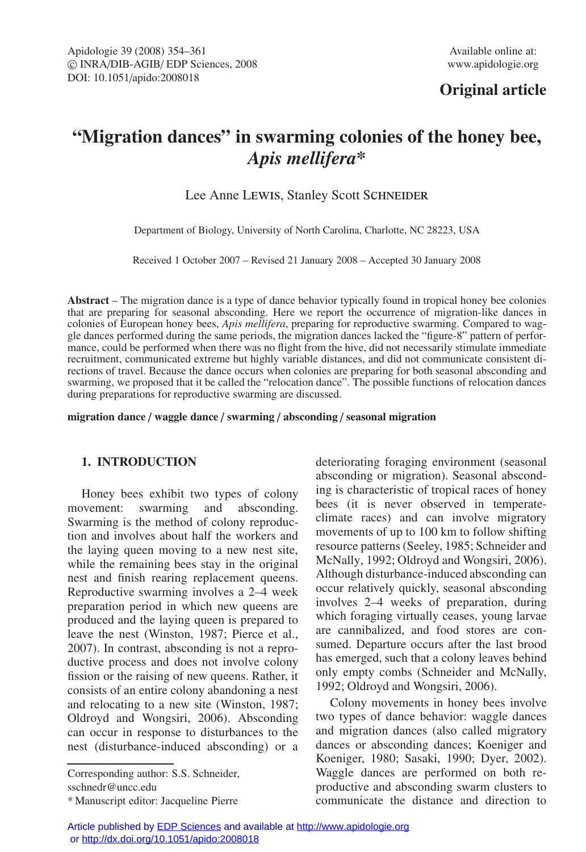# **Original article**

# **"Migration dances" in swarming colonies of the honey bee,** *Apis mellifera***\***

# Lee Anne LEWIS, Stanley Scott SCHNEIDER

Department of Biology, University of North Carolina, Charlotte, NC 28223, USA

Received 1 October 2007 – Revised 21 January 2008 – Accepted 30 January 2008

**Abstract** – The migration dance is a type of dance behavior typically found in tropical honey bee colonies that are preparing for seasonal absconding. Here we report the occurrence of migration-like dances in colonies of European honey bees, *Apis mellifera*, preparing for reproductive swarming. Compared to waggle dances performed during the same periods, the migration dances lacked the "figure-8" pattern of performance, could be performed when there was no flight from the hive, did not necessarily stimulate immediate recruitment, communicated extreme but highly variable distances, and did not communicate consistent directions of travel. Because the dance occurs when colonies are preparing for both seasonal absconding and swarming, we proposed that it be called the "relocation dance". The possible functions of relocation dances during preparations for reproductive swarming are discussed.

**migration dance** / **waggle dance** / **swarming** / **absconding** / **seasonal migration**

# **1. INTRODUCTION**

Honey bees exhibit two types of colony movement: swarming and absconding. Swarming is the method of colony reproduction and involves about half the workers and the laying queen moving to a new nest site, while the remaining bees stay in the original nest and finish rearing replacement queens. Reproductive swarming involves a 2–4 week preparation period in which new queens are produced and the laying queen is prepared to leave the nest (Winston, 1987; Pierce et al., 2007). In contrast, absconding is not a reproductive process and does not involve colony fission or the raising of new queens. Rather, it consists of an entire colony abandoning a nest and relocating to a new site (Winston, 1987; Oldroyd and Wongsiri, 2006). Absconding can occur in response to disturbances to the nest (disturbance-induced absconding) or a

Corresponding author: S.S. Schneider, sschnedr@uncc.edu

deteriorating foraging environment (seasonal absconding or migration). Seasonal absconding is characteristic of tropical races of honey bees (it is never observed in temperateclimate races) and can involve migratory movements of up to 100 km to follow shifting resource patterns (Seeley, 1985; Schneider and McNally, 1992; Oldroyd and Wongsiri, 2006). Although disturbance-induced absconding can occur relatively quickly, seasonal absconding involves 2–4 weeks of preparation, during which foraging virtually ceases, young larvae are cannibalized, and food stores are consumed. Departure occurs after the last brood has emerged, such that a colony leaves behind only empty combs (Schneider and McNally, 1992; Oldroyd and Wongsiri, 2006).

Colony movements in honey bees involve two types of dance behavior: waggle dances and migration dances (also called migratory dances or absconding dances; Koeniger and Koeniger, 1980; Sasaki, 1990; Dyer, 2002). Waggle dances are performed on both reproductive and absconding swarm clusters to communicate the distance and direction to

<sup>\*</sup> Manuscript editor: Jacqueline Pierre

Article published by [EDP Sciences](http://www.edpsciences.org) and available at<http://www.apidologie.org> or<http://dx.doi.org/10.1051/apido:2008018>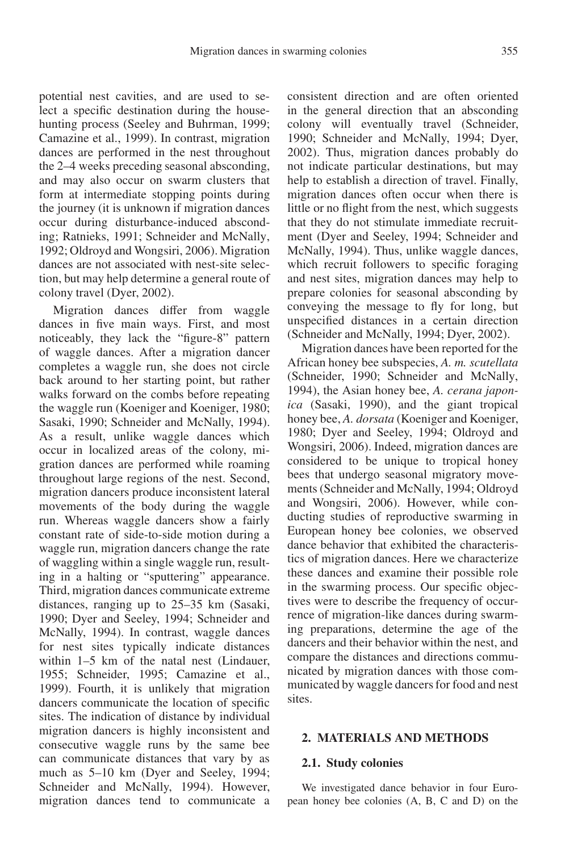potential nest cavities, and are used to select a specific destination during the househunting process (Seeley and Buhrman, 1999; Camazine et al., 1999). In contrast, migration dances are performed in the nest throughout the 2–4 weeks preceding seasonal absconding, and may also occur on swarm clusters that form at intermediate stopping points during the journey (it is unknown if migration dances occur during disturbance-induced absconding; Ratnieks, 1991; Schneider and McNally, 1992; Oldroyd and Wongsiri, 2006). Migration dances are not associated with nest-site selection, but may help determine a general route of colony travel (Dyer, 2002).

Migration dances differ from waggle dances in five main ways. First, and most noticeably, they lack the "figure-8" pattern of waggle dances. After a migration dancer completes a waggle run, she does not circle back around to her starting point, but rather walks forward on the combs before repeating the waggle run (Koeniger and Koeniger, 1980; Sasaki, 1990; Schneider and McNally, 1994). As a result, unlike waggle dances which occur in localized areas of the colony, migration dances are performed while roaming throughout large regions of the nest. Second, migration dancers produce inconsistent lateral movements of the body during the waggle run. Whereas waggle dancers show a fairly constant rate of side-to-side motion during a waggle run, migration dancers change the rate of waggling within a single waggle run, resulting in a halting or "sputtering" appearance. Third, migration dances communicate extreme distances, ranging up to 25–35 km (Sasaki, 1990; Dyer and Seeley, 1994; Schneider and McNally, 1994). In contrast, waggle dances for nest sites typically indicate distances within 1–5 km of the natal nest (Lindauer, 1955; Schneider, 1995; Camazine et al., 1999). Fourth, it is unlikely that migration dancers communicate the location of specific sites. The indication of distance by individual migration dancers is highly inconsistent and consecutive waggle runs by the same bee can communicate distances that vary by as much as 5–10 km (Dyer and Seeley, 1994; Schneider and McNally, 1994). However, migration dances tend to communicate a consistent direction and are often oriented in the general direction that an absconding colony will eventually travel (Schneider, 1990; Schneider and McNally, 1994; Dyer, 2002). Thus, migration dances probably do not indicate particular destinations, but may help to establish a direction of travel. Finally, migration dances often occur when there is little or no flight from the nest, which suggests that they do not stimulate immediate recruitment (Dyer and Seeley, 1994; Schneider and McNally, 1994). Thus, unlike waggle dances, which recruit followers to specific foraging and nest sites, migration dances may help to prepare colonies for seasonal absconding by conveying the message to fly for long, but unspecified distances in a certain direction (Schneider and McNally, 1994; Dyer, 2002).

Migration dances have been reported for the African honey bee subspecies, *A. m. scutellata* (Schneider, 1990; Schneider and McNally, 1994), the Asian honey bee, *A. cerana japonica* (Sasaki, 1990), and the giant tropical honey bee, *A. dorsata* (Koeniger and Koeniger, 1980; Dyer and Seeley, 1994; Oldroyd and Wongsiri, 2006). Indeed, migration dances are considered to be unique to tropical honey bees that undergo seasonal migratory movements (Schneider and McNally, 1994; Oldroyd and Wongsiri, 2006). However, while conducting studies of reproductive swarming in European honey bee colonies, we observed dance behavior that exhibited the characteristics of migration dances. Here we characterize these dances and examine their possible role in the swarming process. Our specific objectives were to describe the frequency of occurrence of migration-like dances during swarming preparations, determine the age of the dancers and their behavior within the nest, and compare the distances and directions communicated by migration dances with those communicated by waggle dancers for food and nest sites.

#### **2. MATERIALS AND METHODS**

#### **2.1. Study colonies**

We investigated dance behavior in four European honey bee colonies (A, B, C and D) on the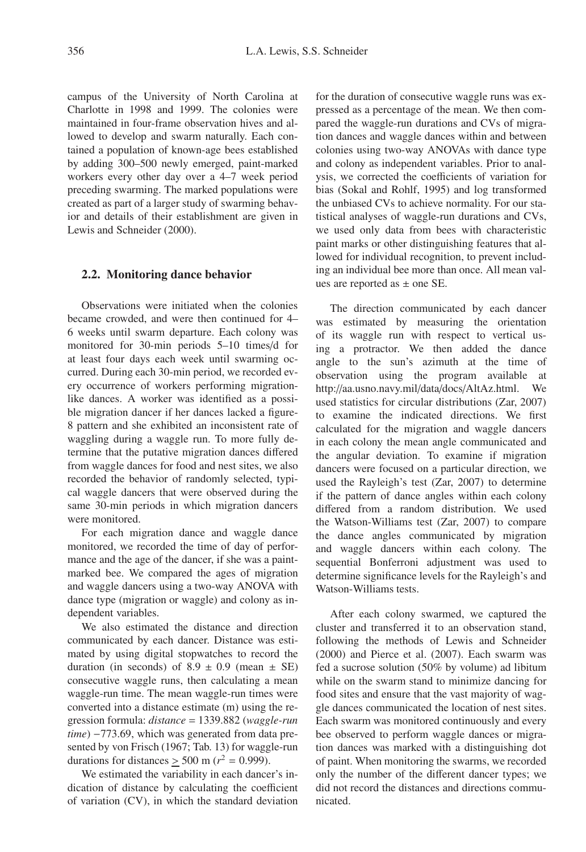campus of the University of North Carolina at Charlotte in 1998 and 1999. The colonies were maintained in four-frame observation hives and allowed to develop and swarm naturally. Each contained a population of known-age bees established by adding 300–500 newly emerged, paint-marked workers every other day over a 4–7 week period preceding swarming. The marked populations were created as part of a larger study of swarming behavior and details of their establishment are given in Lewis and Schneider (2000).

#### **2.2. Monitoring dance behavior**

Observations were initiated when the colonies became crowded, and were then continued for 4– 6 weeks until swarm departure. Each colony was monitored for 30-min periods 5–10 times/d for at least four days each week until swarming occurred. During each 30-min period, we recorded every occurrence of workers performing migrationlike dances. A worker was identified as a possible migration dancer if her dances lacked a figure-8 pattern and she exhibited an inconsistent rate of waggling during a waggle run. To more fully determine that the putative migration dances differed from waggle dances for food and nest sites, we also recorded the behavior of randomly selected, typical waggle dancers that were observed during the same 30-min periods in which migration dancers were monitored.

For each migration dance and waggle dance monitored, we recorded the time of day of performance and the age of the dancer, if she was a paintmarked bee. We compared the ages of migration and waggle dancers using a two-way ANOVA with dance type (migration or waggle) and colony as independent variables.

We also estimated the distance and direction communicated by each dancer. Distance was estimated by using digital stopwatches to record the duration (in seconds) of  $8.9 \pm 0.9$  (mean  $\pm$  SE) consecutive waggle runs, then calculating a mean waggle-run time. The mean waggle-run times were converted into a distance estimate (m) using the regression formula: *distance* = 1339.882 (*waggle-run time*) −773.69, which was generated from data presented by von Frisch (1967; Tab. 13) for waggle-run durations for distances  $\geq$  500 m ( $r^2$  = 0.999).

We estimated the variability in each dancer's indication of distance by calculating the coefficient of variation (CV), in which the standard deviation for the duration of consecutive waggle runs was expressed as a percentage of the mean. We then compared the waggle-run durations and CVs of migration dances and waggle dances within and between colonies using two-way ANOVAs with dance type and colony as independent variables. Prior to analysis, we corrected the coefficients of variation for bias (Sokal and Rohlf, 1995) and log transformed the unbiased CVs to achieve normality. For our statistical analyses of waggle-run durations and CVs, we used only data from bees with characteristic paint marks or other distinguishing features that allowed for individual recognition, to prevent including an individual bee more than once. All mean values are reported as  $\pm$  one SE.

The direction communicated by each dancer was estimated by measuring the orientation of its waggle run with respect to vertical using a protractor. We then added the dance angle to the sun's azimuth at the time of observation using the program available at http://aa.usno.navy.mil/data/docs/AltAz.html. We used statistics for circular distributions (Zar, 2007) to examine the indicated directions. We first calculated for the migration and waggle dancers in each colony the mean angle communicated and the angular deviation. To examine if migration dancers were focused on a particular direction, we used the Rayleigh's test (Zar, 2007) to determine if the pattern of dance angles within each colony differed from a random distribution. We used the Watson-Williams test (Zar, 2007) to compare the dance angles communicated by migration and waggle dancers within each colony. The sequential Bonferroni adjustment was used to determine significance levels for the Rayleigh's and Watson-Williams tests.

After each colony swarmed, we captured the cluster and transferred it to an observation stand, following the methods of Lewis and Schneider (2000) and Pierce et al. (2007). Each swarm was fed a sucrose solution (50% by volume) ad libitum while on the swarm stand to minimize dancing for food sites and ensure that the vast majority of waggle dances communicated the location of nest sites. Each swarm was monitored continuously and every bee observed to perform waggle dances or migration dances was marked with a distinguishing dot of paint. When monitoring the swarms, we recorded only the number of the different dancer types; we did not record the distances and directions communicated.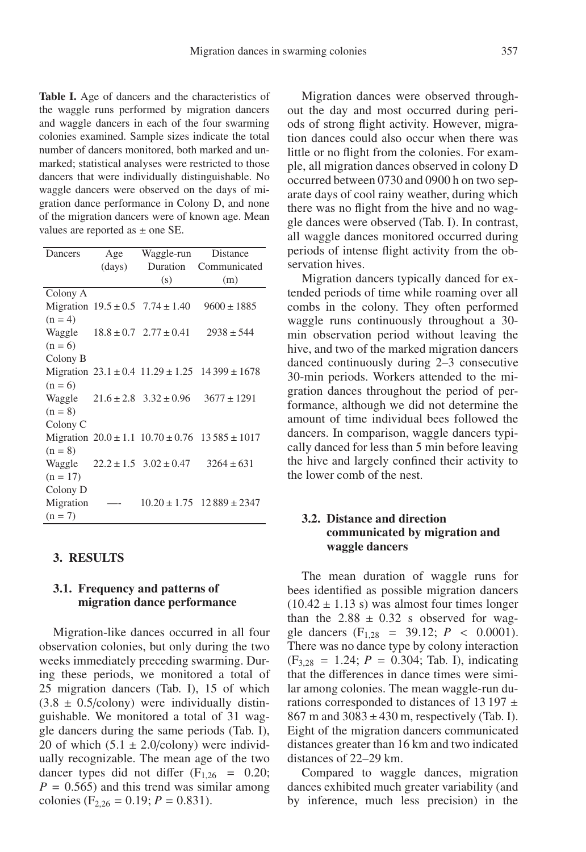**Table I.** Age of dancers and the characteristics of the waggle runs performed by migration dancers and waggle dancers in each of the four swarming colonies examined. Sample sizes indicate the total number of dancers monitored, both marked and unmarked; statistical analyses were restricted to those dancers that were individually distinguishable. No waggle dancers were observed on the days of migration dance performance in Colony D, and none of the migration dancers were of known age. Mean values are reported as  $\pm$  one SE.

| Dancers             | Age    | Waggle-run                               | Distance                                                     |
|---------------------|--------|------------------------------------------|--------------------------------------------------------------|
|                     | (days) | Duration                                 | Communicated                                                 |
|                     |        | (s)                                      | (m)                                                          |
| Colony A            |        |                                          |                                                              |
|                     |        | Migration $19.5 \pm 0.5$ 7.74 $\pm 1.40$ | $9600 \pm 1885$                                              |
| $(n = 4)$           |        |                                          |                                                              |
|                     |        | Waggle $18.8 \pm 0.7$ $2.77 \pm 0.41$    | $2938 \pm 544$                                               |
| $(n = 6)$           |        |                                          |                                                              |
| Colony B            |        |                                          |                                                              |
|                     |        |                                          | Migration $23.1 \pm 0.4$ 11.29 $\pm$ 1.25 14 399 $\pm$ 1678  |
| $(n = 6)$           |        |                                          |                                                              |
|                     |        | Waggle $21.6 \pm 2.8$ $3.32 \pm 0.96$    | $3677 \pm 1291$                                              |
| $(n = 8)$           |        |                                          |                                                              |
| Colony <sub>C</sub> |        |                                          |                                                              |
|                     |        |                                          | Migration $20.0 \pm 1.1$ $10.70 \pm 0.76$ $13\,585 \pm 1017$ |
| $(n = 8)$           |        |                                          |                                                              |
|                     |        | Waggle $22.2 \pm 1.5$ $3.02 \pm 0.47$    | $3264 \pm 631$                                               |
| $(n = 17)$          |        |                                          |                                                              |
| Colony D            |        |                                          |                                                              |
| Migration           |        |                                          | $10.20 \pm 1.75$ 12 889 $\pm$ 2347                           |
| $(n = 7)$           |        |                                          |                                                              |

#### **3. RESULTS**

# **3.1. Frequency and patterns of migration dance performance**

Migration-like dances occurred in all four observation colonies, but only during the two weeks immediately preceding swarming. During these periods, we monitored a total of 25 migration dancers (Tab. I), 15 of which  $(3.8 \pm 0.5/\text{colony})$  were individually distinguishable. We monitored a total of 31 waggle dancers during the same periods (Tab. I), 20 of which  $(5.1 \pm 2.0/\text{colony})$  were individually recognizable. The mean age of the two dancer types did not differ  $(F<sub>1,26</sub> = 0.20)$ ;  $P = 0.565$ ) and this trend was similar among colonies ( $F_{2,26} = 0.19$ ;  $P = 0.831$ ).

Migration dances were observed throughout the day and most occurred during periods of strong flight activity. However, migration dances could also occur when there was little or no flight from the colonies. For example, all migration dances observed in colony D occurred between 0730 and 0900 h on two separate days of cool rainy weather, during which there was no flight from the hive and no waggle dances were observed (Tab. I). In contrast, all waggle dances monitored occurred during periods of intense flight activity from the observation hives.

Migration dancers typically danced for extended periods of time while roaming over all combs in the colony. They often performed waggle runs continuously throughout a 30 min observation period without leaving the hive, and two of the marked migration dancers danced continuously during 2–3 consecutive 30-min periods. Workers attended to the migration dances throughout the period of performance, although we did not determine the amount of time individual bees followed the dancers. In comparison, waggle dancers typically danced for less than 5 min before leaving the hive and largely confined their activity to the lower comb of the nest.

# **3.2. Distance and direction communicated by migration and waggle dancers**

The mean duration of waggle runs for bees identified as possible migration dancers  $(10.42 \pm 1.13 \text{ s})$  was almost four times longer than the  $2.88 \pm 0.32$  s observed for waggle dancers  $(F_{1,28} = 39.12; P < 0.0001)$ . There was no dance type by colony interaction  $(F_{3,28} = 1.24; P = 0.304;$  Tab. I), indicating that the differences in dance times were similar among colonies. The mean waggle-run durations corresponded to distances of 13 197  $\pm$ 867 m and  $3083 \pm 430$  m, respectively (Tab. I). Eight of the migration dancers communicated distances greater than 16 km and two indicated distances of 22–29 km.

Compared to waggle dances, migration dances exhibited much greater variability (and by inference, much less precision) in the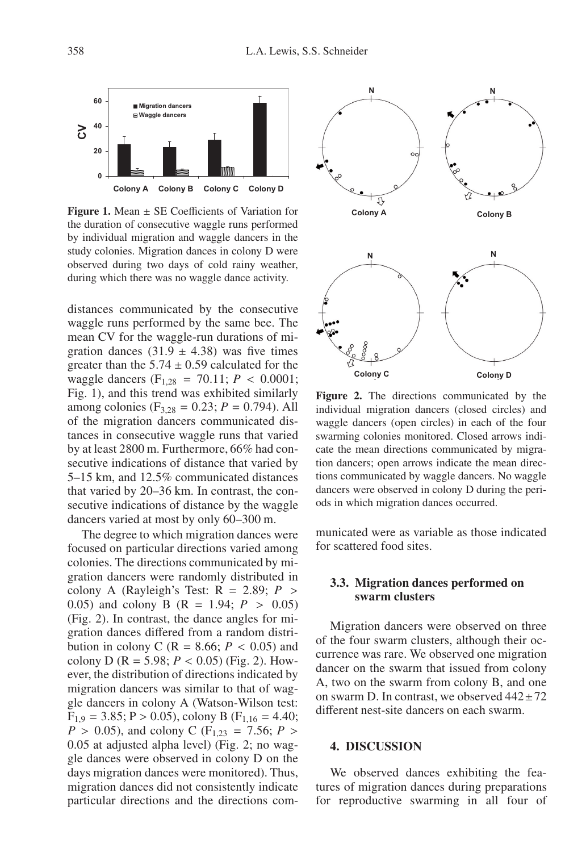

**Figure 1.** Mean ± SE Coefficients of Variation for the duration of consecutive waggle runs performed by individual migration and waggle dancers in the study colonies. Migration dances in colony D were observed during two days of cold rainy weather, during which there was no waggle dance activity.

distances communicated by the consecutive waggle runs performed by the same bee. The mean CV for the waggle-run durations of migration dances  $(31.9 \pm 4.38)$  was five times greater than the  $5.74 \pm 0.59$  calculated for the waggle dancers (F<sub>1,28</sub> = 70.11;  $P < 0.0001$ ; Fig. 1), and this trend was exhibited similarly among colonies ( $F_{3,28} = 0.23$ ;  $P = 0.794$ ). All of the migration dancers communicated distances in consecutive waggle runs that varied by at least 2800 m. Furthermore, 66% had consecutive indications of distance that varied by 5–15 km, and 12.5% communicated distances that varied by 20–36 km. In contrast, the consecutive indications of distance by the waggle dancers varied at most by only 60–300 m.

The degree to which migration dances were focused on particular directions varied among colonies. The directions communicated by migration dancers were randomly distributed in colony A (Rayleigh's Test:  $R = 2.89$ ;  $P >$ 0.05) and colony B (R = 1.94; *P* > 0.05) (Fig. 2). In contrast, the dance angles for migration dances differed from a random distribution in colony C ( $R = 8.66$ ;  $P < 0.05$ ) and colony D ( $R = 5.98$ ;  $P < 0.05$ ) (Fig. 2). However, the distribution of directions indicated by migration dancers was similar to that of waggle dancers in colony A (Watson-Wilson test:  $F_{1,9} = 3.85$ ; P > 0.05), colony B ( $F_{1,16} = 4.40$ ;  $P > 0.05$ ), and colony C (F<sub>1,23</sub> = 7.56; *P* > 0.05 at adjusted alpha level) (Fig. 2; no waggle dances were observed in colony D on the days migration dances were monitored). Thus, migration dances did not consistently indicate particular directions and the directions com-



**Figure 2.** The directions communicated by the individual migration dancers (closed circles) and waggle dancers (open circles) in each of the four swarming colonies monitored. Closed arrows indicate the mean directions communicated by migration dancers; open arrows indicate the mean directions communicated by waggle dancers. No waggle dancers were observed in colony D during the periods in which migration dances occurred.

municated were as variable as those indicated for scattered food sites.

# **3.3. Migration dances performed on swarm clusters**

Migration dancers were observed on three of the four swarm clusters, although their occurrence was rare. We observed one migration dancer on the swarm that issued from colony A, two on the swarm from colony B, and one on swarm D. In contrast, we observed  $442 \pm 72$ different nest-site dancers on each swarm.

## **4. DISCUSSION**

We observed dances exhibiting the features of migration dances during preparations for reproductive swarming in all four of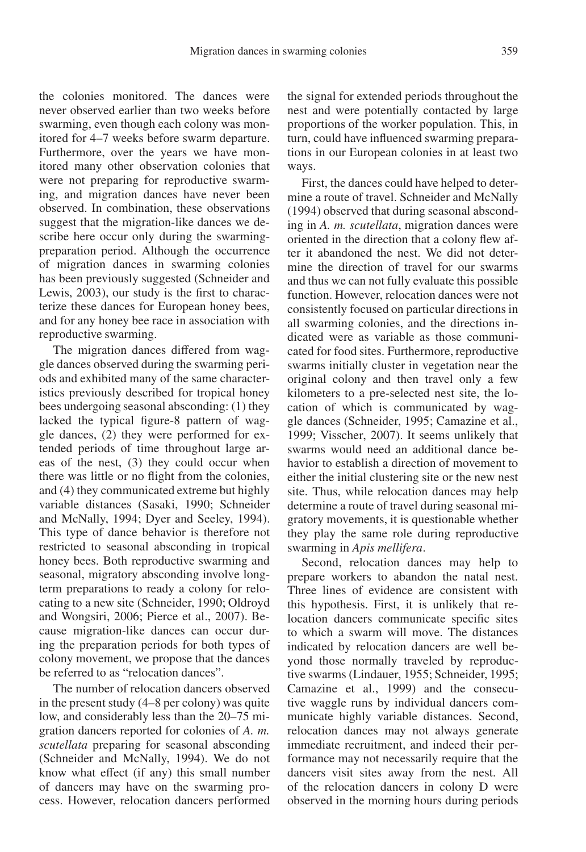the colonies monitored. The dances were never observed earlier than two weeks before swarming, even though each colony was monitored for 4–7 weeks before swarm departure. Furthermore, over the years we have monitored many other observation colonies that were not preparing for reproductive swarming, and migration dances have never been observed. In combination, these observations suggest that the migration-like dances we describe here occur only during the swarmingpreparation period. Although the occurrence of migration dances in swarming colonies has been previously suggested (Schneider and Lewis, 2003), our study is the first to characterize these dances for European honey bees, and for any honey bee race in association with reproductive swarming.

The migration dances differed from waggle dances observed during the swarming periods and exhibited many of the same characteristics previously described for tropical honey bees undergoing seasonal absconding: (1) they lacked the typical figure-8 pattern of waggle dances, (2) they were performed for extended periods of time throughout large areas of the nest, (3) they could occur when there was little or no flight from the colonies, and (4) they communicated extreme but highly variable distances (Sasaki, 1990; Schneider and McNally, 1994; Dyer and Seeley, 1994). This type of dance behavior is therefore not restricted to seasonal absconding in tropical honey bees. Both reproductive swarming and seasonal, migratory absconding involve longterm preparations to ready a colony for relocating to a new site (Schneider, 1990; Oldroyd and Wongsiri, 2006; Pierce et al., 2007). Because migration-like dances can occur during the preparation periods for both types of colony movement, we propose that the dances be referred to as "relocation dances".

The number of relocation dancers observed in the present study (4–8 per colony) was quite low, and considerably less than the 20–75 migration dancers reported for colonies of *A. m. scutellata* preparing for seasonal absconding (Schneider and McNally, 1994). We do not know what effect (if any) this small number of dancers may have on the swarming process. However, relocation dancers performed the signal for extended periods throughout the nest and were potentially contacted by large proportions of the worker population. This, in turn, could have influenced swarming preparations in our European colonies in at least two ways.

First, the dances could have helped to determine a route of travel. Schneider and McNally (1994) observed that during seasonal absconding in *A. m. scutellata*, migration dances were oriented in the direction that a colony flew after it abandoned the nest. We did not determine the direction of travel for our swarms and thus we can not fully evaluate this possible function. However, relocation dances were not consistently focused on particular directions in all swarming colonies, and the directions indicated were as variable as those communicated for food sites. Furthermore, reproductive swarms initially cluster in vegetation near the original colony and then travel only a few kilometers to a pre-selected nest site, the location of which is communicated by waggle dances (Schneider, 1995; Camazine et al., 1999; Visscher, 2007). It seems unlikely that swarms would need an additional dance behavior to establish a direction of movement to either the initial clustering site or the new nest site. Thus, while relocation dances may help determine a route of travel during seasonal migratory movements, it is questionable whether they play the same role during reproductive swarming in *Apis mellifera*.

Second, relocation dances may help to prepare workers to abandon the natal nest. Three lines of evidence are consistent with this hypothesis. First, it is unlikely that relocation dancers communicate specific sites to which a swarm will move. The distances indicated by relocation dancers are well beyond those normally traveled by reproductive swarms (Lindauer, 1955; Schneider, 1995; Camazine et al., 1999) and the consecutive waggle runs by individual dancers communicate highly variable distances. Second, relocation dances may not always generate immediate recruitment, and indeed their performance may not necessarily require that the dancers visit sites away from the nest. All of the relocation dancers in colony D were observed in the morning hours during periods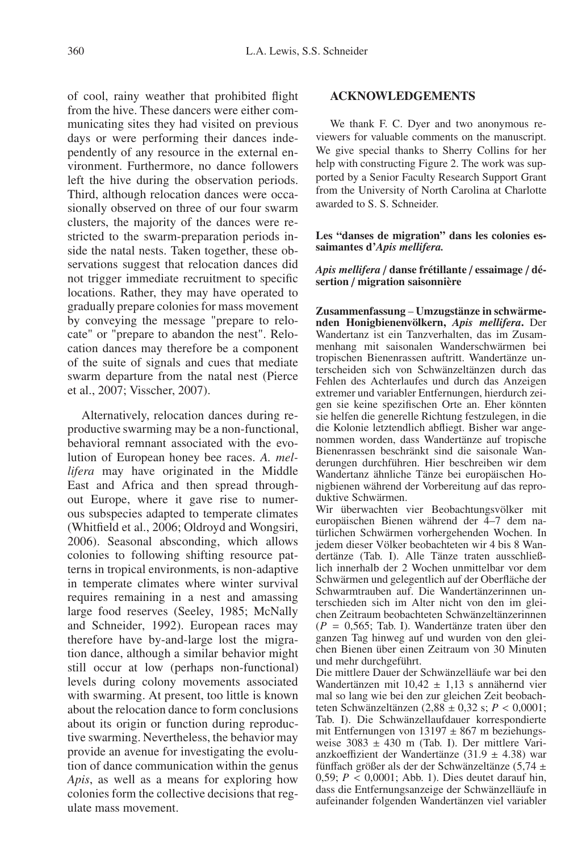of cool, rainy weather that prohibited flight from the hive. These dancers were either communicating sites they had visited on previous days or were performing their dances independently of any resource in the external environment. Furthermore, no dance followers left the hive during the observation periods. Third, although relocation dances were occasionally observed on three of our four swarm clusters, the majority of the dances were restricted to the swarm-preparation periods inside the natal nests. Taken together, these observations suggest that relocation dances did not trigger immediate recruitment to specific locations. Rather, they may have operated to gradually prepare colonies for mass movement by conveying the message "prepare to relocate" or "prepare to abandon the nest". Relocation dances may therefore be a component of the suite of signals and cues that mediate swarm departure from the natal nest (Pierce et al., 2007; Visscher, 2007).

Alternatively, relocation dances during reproductive swarming may be a non-functional, behavioral remnant associated with the evolution of European honey bee races. *A. mellifera* may have originated in the Middle East and Africa and then spread throughout Europe, where it gave rise to numerous subspecies adapted to temperate climates (Whitfield et al., 2006; Oldroyd and Wongsiri, 2006). Seasonal absconding, which allows colonies to following shifting resource patterns in tropical environments, is non-adaptive in temperate climates where winter survival requires remaining in a nest and amassing large food reserves (Seeley, 1985; McNally and Schneider, 1992). European races may therefore have by-and-large lost the migration dance, although a similar behavior might still occur at low (perhaps non-functional) levels during colony movements associated with swarming. At present, too little is known about the relocation dance to form conclusions about its origin or function during reproductive swarming. Nevertheless, the behavior may provide an avenue for investigating the evolution of dance communication within the genus *Apis*, as well as a means for exploring how colonies form the collective decisions that regulate mass movement.

### **ACKNOWLEDGEMENTS**

We thank F. C. Dyer and two anonymous reviewers for valuable comments on the manuscript. We give special thanks to Sherry Collins for her help with constructing Figure 2. The work was supported by a Senior Faculty Research Support Grant from the University of North Carolina at Charlotte awarded to S. S. Schneider.

**Les "danses de migration" dans les colonies essaimantes d'***Apis mellifera.*

*Apis mellifera* / **danse frétillante** / **essaimage** / **désertion** / **migration saisonnière**

**Zusammenfassung** – **Umzugstänze in schwärmenden Honigbienenvölkern,** *Apis mellifera***.** Der Wandertanz ist ein Tanzverhalten, das im Zusammenhang mit saisonalen Wanderschwärmen bei tropischen Bienenrassen auftritt. Wandertänze unterscheiden sich von Schwänzeltänzen durch das Fehlen des Achterlaufes und durch das Anzeigen extremer und variabler Entfernungen, hierdurch zeigen sie keine spezifischen Orte an. Eher könnten sie helfen die generelle Richtung festzulegen, in die die Kolonie letztendlich abfliegt. Bisher war angenommen worden, dass Wandertänze auf tropische Bienenrassen beschränkt sind die saisonale Wanderungen durchführen. Hier beschreiben wir dem Wandertanz ähnliche Tänze bei europäischen Honigbienen während der Vorbereitung auf das reproduktive Schwärmen.

Wir überwachten vier Beobachtungsvölker mit europäischen Bienen während der 4–7 dem natürlichen Schwärmen vorhergehenden Wochen. In jedem dieser Völker beobachteten wir 4 bis 8 Wandertänze (Tab. I). Alle Tänze traten ausschließlich innerhalb der 2 Wochen unmittelbar vor dem Schwärmen und gelegentlich auf der Oberfläche der Schwarmtrauben auf. Die Wandertänzerinnen unterschieden sich im Alter nicht von den im gleichen Zeitraum beobachteten Schwänzeltänzerinnen (*P* = 0,565; Tab. I). Wandertänze traten über den ganzen Tag hinweg auf und wurden von den gleichen Bienen über einen Zeitraum von 30 Minuten und mehr durchgeführt.

Die mittlere Dauer der Schwänzelläufe war bei den Wandertänzen mit 10,42 ± 1,13 s annähernd vier mal so lang wie bei den zur gleichen Zeit beobachteten Schwänzeltänzen  $(2,88 \pm 0,32 \text{ s}; P < 0,0001;$ Tab. I). Die Schwänzellaufdauer korrespondierte mit Entfernungen von 13197  $\pm 867$  m beziehungsweise  $3083 \pm 430$  m (Tab. I). Der mittlere Varianzkoeffizient der Wandertänze (31.9  $\pm$  4.38) war fünffach größer als der der Schwänzeltänze (5,74 ± 0,59; *P* < 0,0001; Abb. 1). Dies deutet darauf hin, dass die Entfernungsanzeige der Schwänzelläufe in aufeinander folgenden Wandertänzen viel variabler